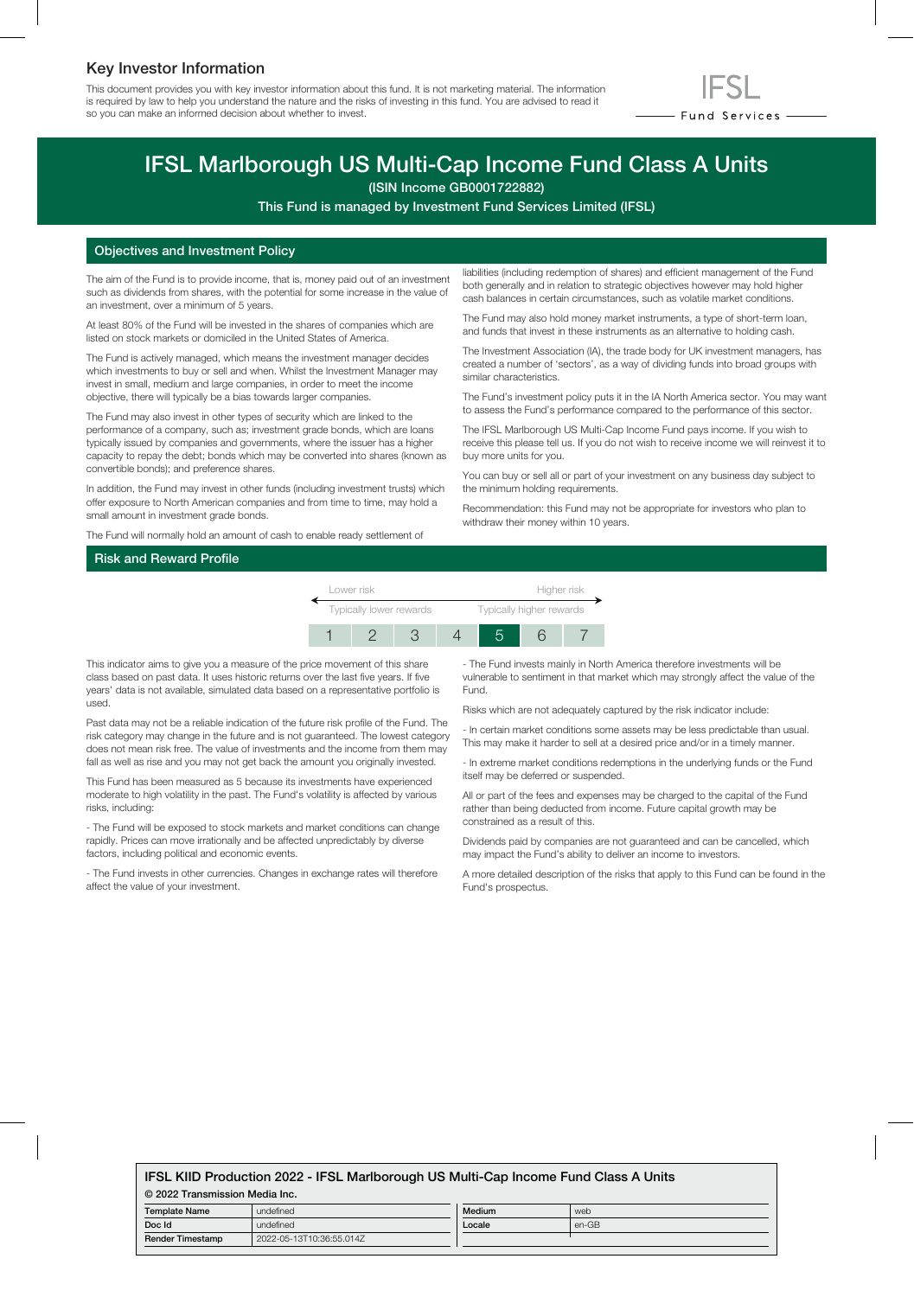# Key Investor Information

This document provides you with key investor information about this fund. It is not marketing material. The information is required by law to help you understand the nature and the risks of investing in this fund. You are advised to read it so you can make an informed decision about whether to invest.



# IFSL Marlborough US Multi-Cap Income Fund Class A Units

(ISIN Income GB0001722882)

This Fund is managed by Investment Fund Services Limited (IFSL)

### Objectives and Investment Policy

The aim of the Fund is to provide income, that is, money paid out of an investment such as dividends from shares, with the potential for some increase in the value of an investment, over a minimum of 5 years.

At least 80% of the Fund will be invested in the shares of companies which are listed on stock markets or domiciled in the United States of America.

The Fund is actively managed, which means the investment manager decides which investments to buy or sell and when. Whilst the Investment Manager may invest in small, medium and large companies, in order to meet the income objective, there will typically be a bias towards larger companies.

The Fund may also invest in other types of security which are linked to the performance of a company, such as; investment grade bonds, which are loans typically issued by companies and governments, where the issuer has a higher capacity to repay the debt; bonds which may be converted into shares (known as convertible bonds); and preference shares.

In addition, the Fund may invest in other funds (including investment trusts) which offer exposure to North American companies and from time to time, may hold a small amount in investment grade bonds.

The Fund will normally hold an amount of cash to enable ready settlement of

liabilities (including redemption of shares) and efficient management of the Fund both generally and in relation to strategic objectives however may hold higher cash balances in certain circumstances, such as volatile market conditions.

The Fund may also hold money market instruments, a type of short-term loan, and funds that invest in these instruments as an alternative to holding cash.

The Investment Association (IA), the trade body for UK investment managers, has created a number of 'sectors', as a way of dividing funds into broad groups with similar characteristics.

The Fund's investment policy puts it in the IA North America sector. You may want to assess the Fund's performance compared to the performance of this sector.

The IFSL Marlborough US Multi-Cap Income Fund pays income. If you wish to receive this please tell us. If you do not wish to receive income we will reinvest it to buy more units for you.

You can buy or sell all or part of your investment on any business day subject to the minimum holding requirements.

Recommendation: this Fund may not be appropriate for investors who plan to withdraw their money within 10 years.

#### Risk and Reward Profile



This indicator aims to give you a measure of the price movement of this share class based on past data. It uses historic returns over the last five years. If five years' data is not available, simulated data based on a representative portfolio is used.

Past data may not be a reliable indication of the future risk profile of the Fund. The risk category may change in the future and is not guaranteed. The lowest category does not mean risk free. The value of investments and the income from them may fall as well as rise and you may not get back the amount you originally invested.

This Fund has been measured as 5 because its investments have experienced moderate to high volatility in the past. The Fund's volatility is affected by various risks, including:

- The Fund will be exposed to stock markets and market conditions can change rapidly. Prices can move irrationally and be affected unpredictably by diverse factors, including political and economic events.

- The Fund invests in other currencies. Changes in exchange rates will therefore affect the value of your investment.

- The Fund invests mainly in North America therefore investments will be vulnerable to sentiment in that market which may strongly affect the value of the Fund.

Risks which are not adequately captured by the risk indicator include:

- In certain market conditions some assets may be less predictable than usual. This may make it harder to sell at a desired price and/or in a timely manner.

- In extreme market conditions redemptions in the underlying funds or the Fund itself may be deferred or suspended.

All or part of the fees and expenses may be charged to the capital of the Fund rather than being deducted from income. Future capital growth may be constrained as a result of this.

Dividends paid by companies are not guaranteed and can be cancelled, which may impact the Fund's ability to deliver an income to investors.

A more detailed description of the risks that apply to this Fund can be found in the Fund's prospectus.